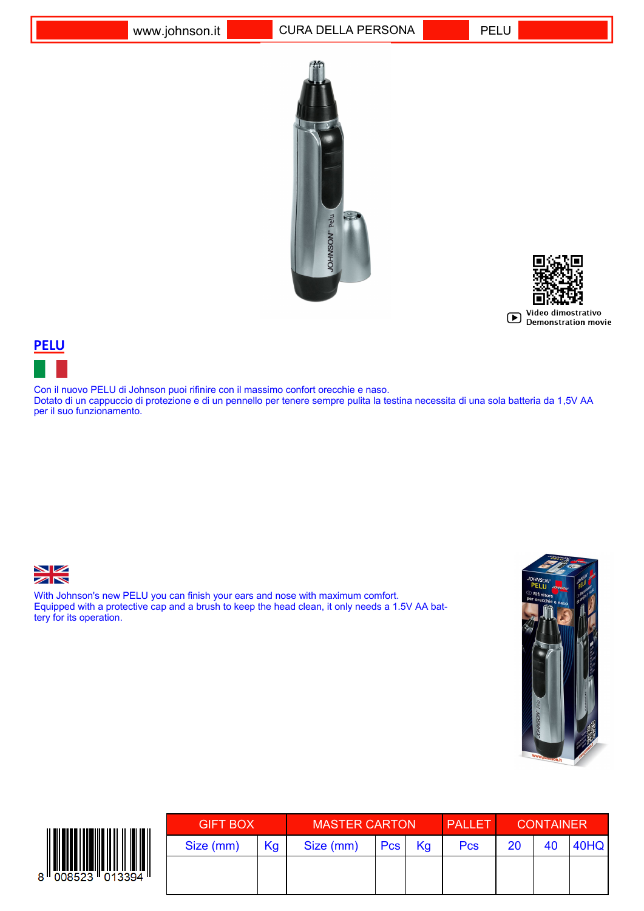



## **PELU**

Con il nuovo PELU di Johnson puoi rifinire con il massimo confort orecchie e naso. Dotato di un cappuccio di protezione e di un pennello per tenere sempre pulita la testina necessita di una sola batteria da 1,5V AA per il suo funzionamento.



With Johnson's new PELU you can finish your ears and nose with maximum comfort. Equipped with a protective cap and a brush to keep the head clean, it only needs a 1.5V AA battery for its operation.





| <b>GIFT BOX</b> |    | <b>MASTER CARTON</b> |     |    | <b>PALLET</b> | <b>CONTAINER</b> |    |      |
|-----------------|----|----------------------|-----|----|---------------|------------------|----|------|
| Size (mm)       | Kg | Size (mm)            | Pcs | Kg | <b>Pcs</b>    | <b>20</b>        | 40 | 40HQ |
|                 |    |                      |     |    |               |                  |    |      |
|                 |    |                      |     |    |               |                  |    |      |